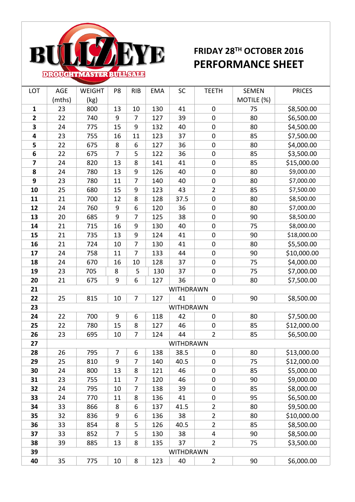

## **FRIDAY 28TH OCTOBER 2016 PERFORMANCE SHEET**

| LOT                     | AGE    | <b>WEIGHT</b> | P8             | <b>RIB</b>     | <b>EMA</b> | SC        | <b>TEETH</b>     | <b>SEMEN</b> | <b>PRICES</b> |
|-------------------------|--------|---------------|----------------|----------------|------------|-----------|------------------|--------------|---------------|
|                         | (mths) | (kg)          |                |                |            |           |                  | MOTILE (%)   |               |
| $\mathbf{1}$            | 23     | 800           | 13             | 10             | 130        | 41        | $\pmb{0}$        | 75           | \$8,500.00    |
| $\overline{\mathbf{2}}$ | 22     | 740           | 9              | 7              | 127        | 39        | $\mathbf 0$      | 80           | \$6,500.00    |
| 3                       | 24     | 775           | 15             | 9              | 132        | 40        | $\mathbf 0$      | 80           | \$4,500.00    |
| 4                       | 23     | 755           | 16             | $11\,$         | 123        | 37        | $\boldsymbol{0}$ | 85           | \$7,500.00    |
| 5                       | 22     | 675           | 8              | 6              | 127        | 36        | $\boldsymbol{0}$ | 80           | \$4,000.00    |
| 6                       | 22     | 675           | 7              | 5              | 122        | 36        | $\boldsymbol{0}$ | 85           | \$3,500.00    |
| $\overline{\mathbf{z}}$ | 24     | 820           | 13             | 8              | 141        | 41        | $\boldsymbol{0}$ | 85           | \$15,000.00   |
| 8                       | 24     | 780           | 13             | 9              | 126        | 40        | $\boldsymbol{0}$ | 80           | \$9,000.00    |
| 9                       | 23     | 780           | 11             | $\overline{7}$ | 140        | 40        | $\boldsymbol{0}$ | 80           | \$7,000.00    |
| 10                      | 25     | 680           | 15             | 9              | 123        | 43        | $\overline{2}$   | 85           | \$7,500.00    |
| 11                      | 21     | 700           | 12             | 8              | 128        | 37.5      | $\pmb{0}$        | 80           | \$8,500.00    |
| 12                      | 24     | 760           | $9\,$          | 6              | 120        | 36        | $\boldsymbol{0}$ | 80           | \$7,000.00    |
| 13                      | 20     | 685           | 9              | $\overline{7}$ | 125        | 38        | $\boldsymbol{0}$ | 90           | \$8,500.00    |
| 14                      | 21     | 715           | 16             | 9              | 130        | 40        | $\boldsymbol{0}$ | 75           | \$8,000.00    |
| 15                      | 21     | 735           | 13             | 9              | 124        | 41        | $\pmb{0}$        | 90           | \$18,000.00   |
| 16                      | 21     | 724           | 10             | 7              | 130        | 41        | $\boldsymbol{0}$ | 80           | \$5,500.00    |
| 17                      | 24     | 758           | 11             | $\overline{7}$ | 133        | 44        | $\boldsymbol{0}$ | 90           | \$10,000.00   |
| 18                      | 24     | 670           | 16             | 10             | 128        | 37        | $\mathbf 0$      | 75           | \$4,000.00    |
| 19                      | 23     | 705           | 8              | 5              | 130        | 37        | $\boldsymbol{0}$ | 75           | \$7,000.00    |
| 20                      | 21     | 675           | $9\,$          | 6              | 127        | 36        | $\mathbf 0$      | 80           | \$7,500.00    |
| 21                      |        |               |                |                |            | WITHDRAWN |                  |              |               |
| 22                      | 25     | 815           | 10             | $\overline{7}$ | 127        | 41        | $\mathbf 0$      | 90           | \$8,500.00    |
| 23                      |        |               |                |                |            | WITHDRAWN |                  |              |               |
| 24                      | 22     | 700           | $9\,$          | 6              | 118        | 42        | $\pmb{0}$        | 80           | \$7,500.00    |
| 25                      | 22     | 780           | 15             | 8              | 127        | 46        | $\boldsymbol{0}$ | 85           | \$12,000.00   |
| 26                      | 23     | 695           | 10             | $\overline{7}$ | 124        | 44        | $\overline{2}$   | 85           | \$6,500.00    |
| 27                      |        |               |                |                |            | WITHDRAWN |                  |              |               |
| 28                      | 26     | 795           | $\overline{7}$ | 6              | 138        | 38.5      | 0                | 80           | \$13,000.00   |
| 29                      | 25     | 810           | 9              | 7              | 140        | 40.5      | $\mathbf 0$      | 75           | \$12,000.00   |
| 30                      | 24     | 800           | 13             | 8              | 121        | 46        | $\boldsymbol{0}$ | 85           | \$5,000.00    |
| 31                      | 23     | 755           | 11             | 7              | 120        | 46        | $\boldsymbol{0}$ | 90           | \$9,000.00    |
| 32                      | 24     | 795           | 10             | 7              | 138        | 39        | $\boldsymbol{0}$ | 85           | \$8,000.00    |
| 33                      | 24     | 770           | 11             | 8              | 136        | 41        | $\boldsymbol{0}$ | 95           | \$6,500.00    |
| 34                      | 33     | 866           | 8              | 6              | 137        | 41.5      | $\overline{2}$   | 80           | \$9,500.00    |
| 35                      | 32     | 836           | 9              | 6              | 136        | 38        | $\overline{2}$   | 80           | \$10,000.00   |
| 36                      | 33     | 854           | 8              | 5              | 126        | 40.5      | $\overline{2}$   | 85           | \$8,500.00    |
| 37                      | 33     | 852           | $\overline{7}$ | 5              | 130        | 38        | 4                | 90           | \$8,500.00    |
| 38                      | 39     | 885           | 13             | 8              | 135        | 37        | $\overline{2}$   | 75           | \$3,500.00    |
| 39                      |        |               |                |                |            | WITHDRAWN |                  |              |               |
| 40                      | 35     | 775           | 10             | 8              | 123        | 40        | $\overline{2}$   | 90           | \$6,000.00    |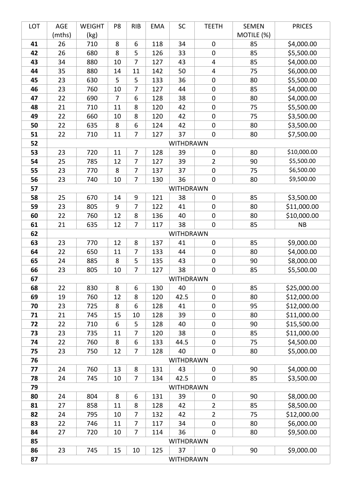| LOT      | AGE       | <b>WEIGHT</b> | P8             | <b>RIB</b>     | <b>EMA</b> | SC              | <b>TEETH</b>     | <b>SEMEN</b> | <b>PRICES</b> |  |  |
|----------|-----------|---------------|----------------|----------------|------------|-----------------|------------------|--------------|---------------|--|--|
|          | (mths)    | (kg)          |                |                |            |                 |                  | MOTILE (%)   |               |  |  |
| 41       | 26        | 710           | 8              | 6              | 118        | 34              | $\boldsymbol{0}$ | 85           | \$4,000.00    |  |  |
| 42       | 26        | 680           | 8              | 5              | 126        | 33              | $\mathbf 0$      | 85           | \$5,500.00    |  |  |
| 43       | 34        | 880           | 10             | 7              | 127        | 43              | 4                | 85           | \$4,000.00    |  |  |
| 44       | 35        | 880           | 14             | 11             | 142        | 50              | 4                | 75           | \$6,000.00    |  |  |
| 45       | 23        | 630           | 5              | 5              | 133        | 36              | $\boldsymbol{0}$ | 80           | \$5,500.00    |  |  |
| 46       | 23        | 760           | 10             | 7              | 127        | 44              | $\pmb{0}$        | 85           | \$4,000.00    |  |  |
| 47       | 22        | 690           | $\overline{7}$ | 6              | 128        | 38              | $\boldsymbol{0}$ | 80           | \$4,000.00    |  |  |
| 48       | 21        | 710           | 11             | 8              | 120        | 42              | $\boldsymbol{0}$ | 75           | \$5,500.00    |  |  |
| 49       | 22        | 660           | 10             | 8              | 120        | 42              | $\boldsymbol{0}$ | 75           | \$3,500.00    |  |  |
| 50       | 22        | 635           | 8              | 6              | 124        | 42              | $\boldsymbol{0}$ | 80           | \$3,500.00    |  |  |
| 51       | 22        | 710           | 11             | 7              | 127        | 37              | $\boldsymbol{0}$ | 80           | \$7,500.00    |  |  |
| 52       | WITHDRAWN |               |                |                |            |                 |                  |              |               |  |  |
| 53       | 23        | 720           | 11             | $\overline{7}$ | 128        | 39              | $\pmb{0}$        | 80           | \$10,000.00   |  |  |
| 54       | 25        | 785           | 12             | 7              | 127        | 39              | $\overline{2}$   | 90           | \$5,500.00    |  |  |
| 55       | 23        | 770           | 8              | $\overline{7}$ | 137        | 37              | $\mathbf 0$      | 75           | \$6,500.00    |  |  |
| 56       | 23        | 740           | 10             | $\overline{7}$ | 130        | 36              | $\boldsymbol{0}$ | 80           | \$9,500.00    |  |  |
| 57       |           |               |                |                |            | WITHDRAWN       |                  |              |               |  |  |
| 58       | 25        | 670           | 14             | 9              | 121        | 38              | $\mathbf 0$      | 85           | \$3,500.00    |  |  |
| 59       | 23        | 805           | 9              | 7              | 122        | 41              | $\boldsymbol{0}$ | 80           | \$11,000.00   |  |  |
| 60       | 22        | 760           | 12             | 8              | 136        | 40              | $\boldsymbol{0}$ | 80           | \$10,000.00   |  |  |
| 61       | 21        | 635           | 12             | $\overline{7}$ | 117        | 38              | $\mathbf 0$      | 85           | <b>NB</b>     |  |  |
| 62       |           |               |                |                |            | WITHDRAWN       |                  |              |               |  |  |
| 63       | 23        | 770           | 12             | 8              | 137        | 41              | $\boldsymbol{0}$ | 85           | \$9,000.00    |  |  |
| 64       | 22        | 650           | 11             | 7              | 133        | 44              | $\boldsymbol{0}$ | 80           | \$4,000.00    |  |  |
| 65       | 24        | 885           | 8              | 5              | 135        | 43              | $\boldsymbol{0}$ | 90           | \$8,000.00    |  |  |
| 66<br>67 | 23        | 805           | 10             | 7              | 127        | 38<br>WITHDRAWN | $\boldsymbol{0}$ | 85           | \$5,500.00    |  |  |
| 68       | 22        | 830           | 8              | 6              | 130        | 40              | $\mathbf 0$      | 85           | \$25,000.00   |  |  |
| 69       | 19        | 760           | 12             | 8              | 120        | 42.5            | $\mathbf 0$      | 80           | \$12,000.00   |  |  |
| 70       | 23        | 725           | 8              | 6              | 128        | 41              | $\mathbf 0$      | 95           | \$12,000.00   |  |  |
| 71       | 21        | 745           | 15             | 10             | 128        | 39              | $\boldsymbol{0}$ | 80           | \$11,000.00   |  |  |
| 72       | 22        | 710           | 6              | 5              | 128        | 40              | $\mathbf 0$      | 90           | \$15,500.00   |  |  |
| 73       | 23        | 735           | 11             | 7              | 120        | 38              | $\boldsymbol{0}$ | 85           | \$11,000.00   |  |  |
| 74       | 22        | 760           | 8              | 6              | 133        | 44.5            | $\mathbf 0$      | 75           | \$4,500.00    |  |  |
| 75       | 23        | 750           | 12             | 7              | 128        | 40              | $\mathbf 0$      | 80           | \$5,000.00    |  |  |
| 76       |           |               |                |                |            | WITHDRAWN       |                  |              |               |  |  |
| 77       | 24        | 760           | 13             | 8              | 131        | 43              | $\mathbf 0$      | 90           | \$4,000.00    |  |  |
| 78       | 24        | 745           | 10             | 7              | 134        | 42.5            | $\mathbf 0$      | 85           | \$3,500.00    |  |  |
| 79       |           |               |                |                |            | WITHDRAWN       |                  |              |               |  |  |
| 80       | 24        | 804           | 8              | 6              | 131        | 39              | $\mathbf 0$      | 90           | \$8,000.00    |  |  |
| 81       | 27        | 858           | 11             | 8              | 128        | 42              | $\overline{2}$   | 85           | \$8,500.00    |  |  |
| 82       | 24        | 795           | 10             | 7              | 132        | 42              | $\overline{2}$   | 75           | \$12,000.00   |  |  |
| 83       | 22        | 746           | 11             | 7              | 117        | 34              | 0                | 80           | \$6,000.00    |  |  |
| 84       | 27        | 720           | 10             | 7              | 114        | 36              | $\mathbf 0$      | 80           | \$9,500.00    |  |  |
| 85       |           |               |                |                |            | WITHDRAWN       |                  |              |               |  |  |
| 86       | 23        | 745           | 15             | 10             | 125        | 37              | $\mathbf 0$      | 90           | \$9,000.00    |  |  |
| 87       | WITHDRAWN |               |                |                |            |                 |                  |              |               |  |  |